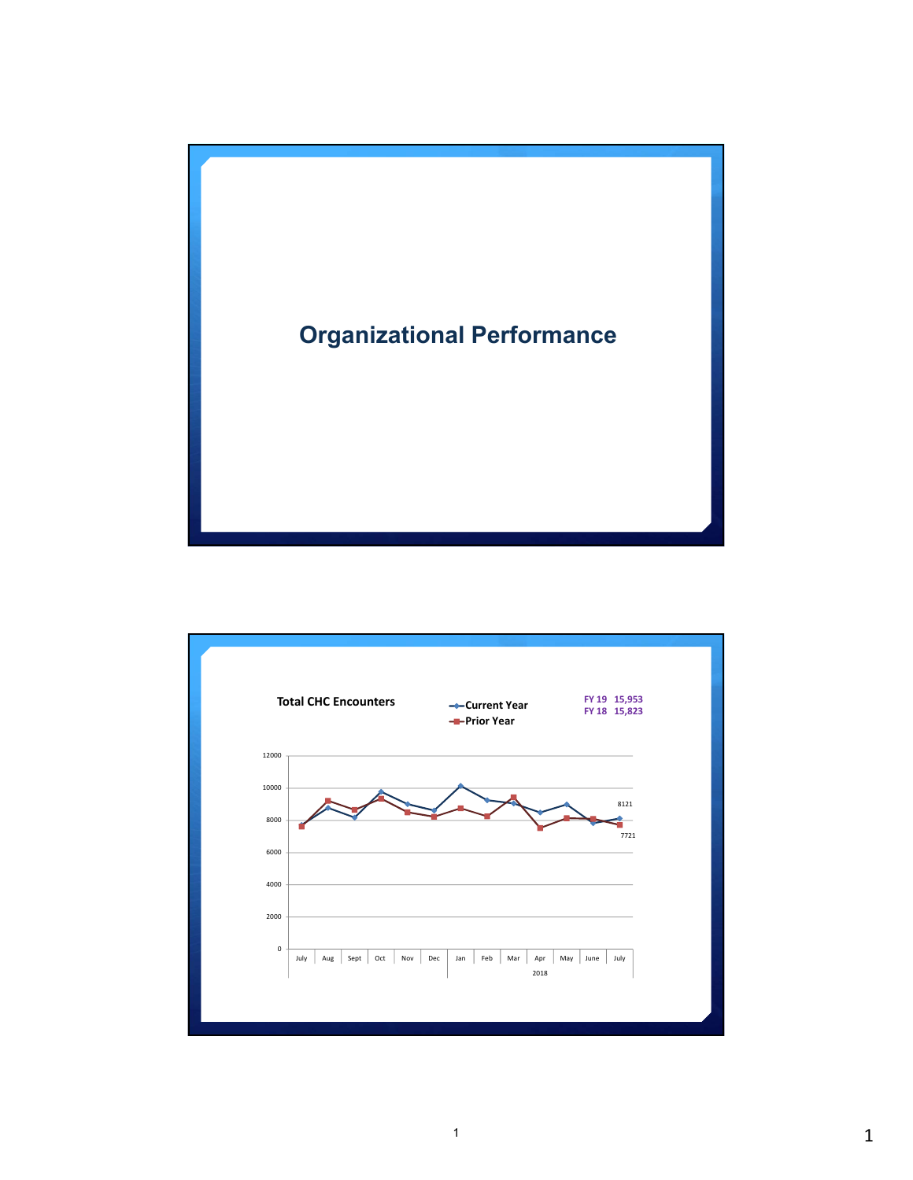

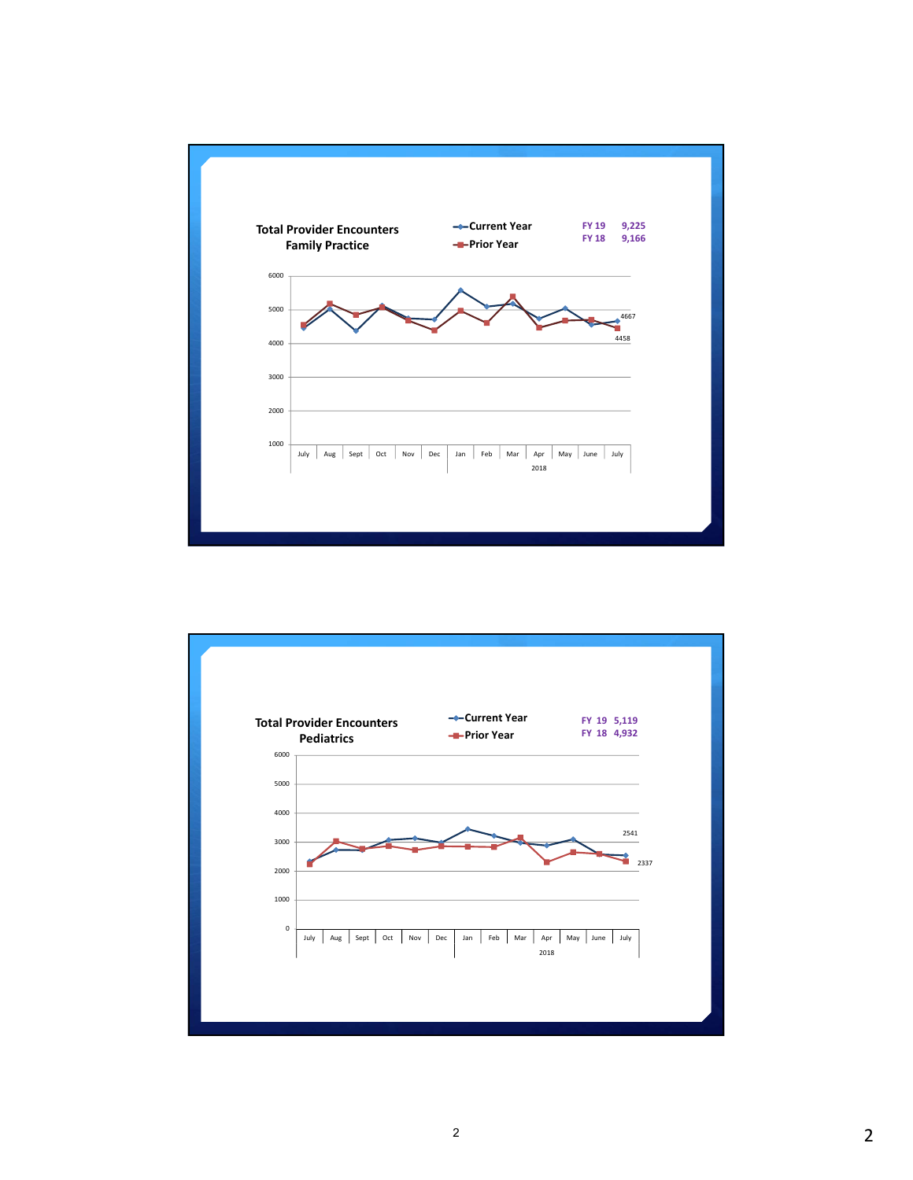

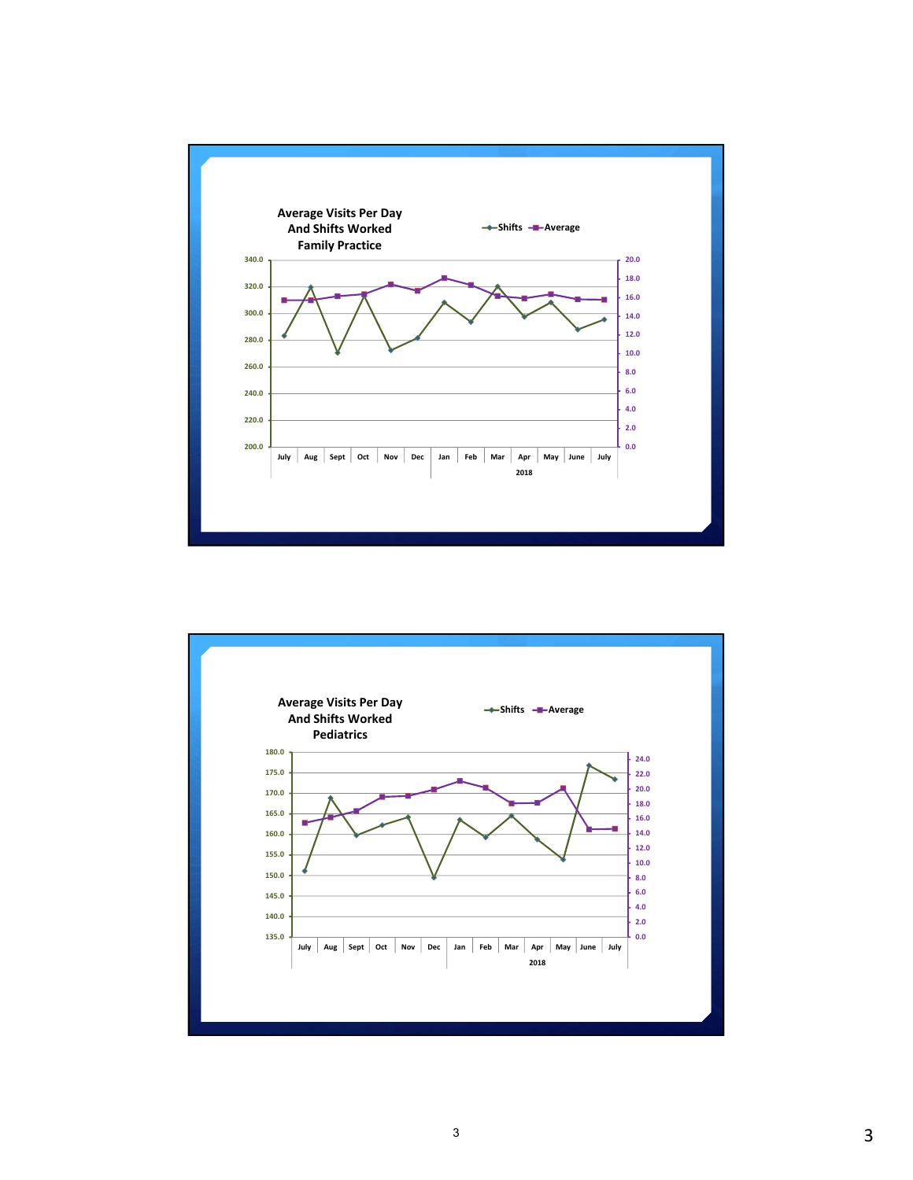

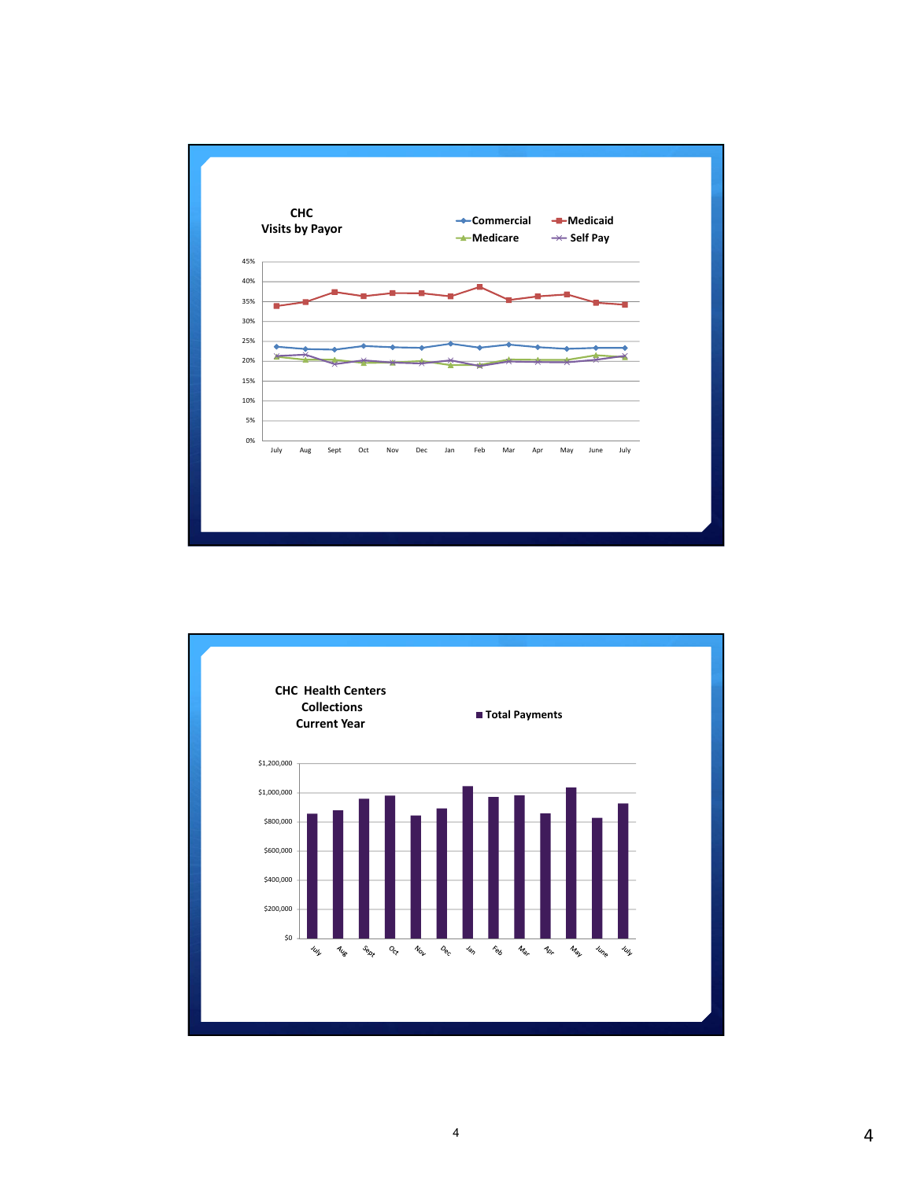



4